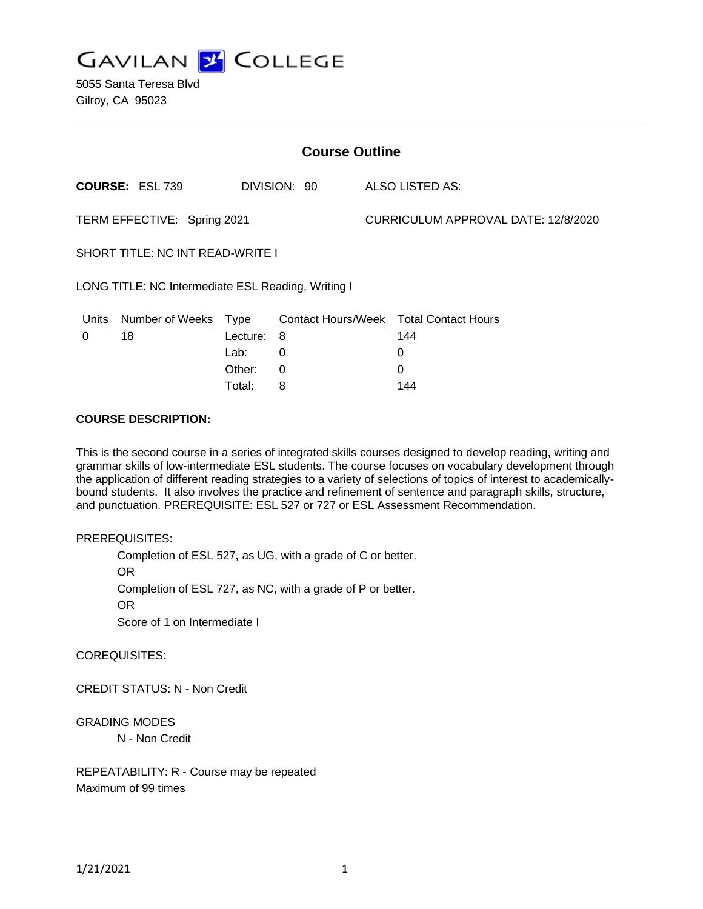

5055 Santa Teresa Blvd Gilroy, CA 95023

| <b>Course Outline</b>                              |                        |             |              |  |                                        |  |
|----------------------------------------------------|------------------------|-------------|--------------|--|----------------------------------------|--|
|                                                    | <b>COURSE: ESL 739</b> |             | DIVISION: 90 |  | ALSO LISTED AS:                        |  |
| TERM EFFECTIVE: Spring 2021                        |                        |             |              |  | CURRICULUM APPROVAL DATE: 12/8/2020    |  |
| <b>SHORT TITLE: NC INT READ-WRITE I</b>            |                        |             |              |  |                                        |  |
| LONG TITLE: NC Intermediate ESL Reading, Writing I |                        |             |              |  |                                        |  |
| Units                                              | Number of Weeks        | <u>Type</u> |              |  | Contact Hours/Week Total Contact Hours |  |
| 0                                                  | 18                     | Lecture:    | 8            |  | 144                                    |  |
|                                                    |                        | Lab:        | 0            |  | 0                                      |  |
|                                                    |                        | Other:      | 0            |  | 0                                      |  |

Total: 8 144

### **COURSE DESCRIPTION:**

This is the second course in a series of integrated skills courses designed to develop reading, writing and grammar skills of low-intermediate ESL students. The course focuses on vocabulary development through the application of different reading strategies to a variety of selections of topics of interest to academicallybound students. It also involves the practice and refinement of sentence and paragraph skills, structure, and punctuation. PREREQUISITE: ESL 527 or 727 or ESL Assessment Recommendation.

#### PREREQUISITES:

Completion of ESL 527, as UG, with a grade of C or better. OR Completion of ESL 727, as NC, with a grade of P or better. OR

Score of 1 on Intermediate I

COREQUISITES:

CREDIT STATUS: N - Non Credit

GRADING MODES

N - Non Credit

REPEATABILITY: R - Course may be repeated Maximum of 99 times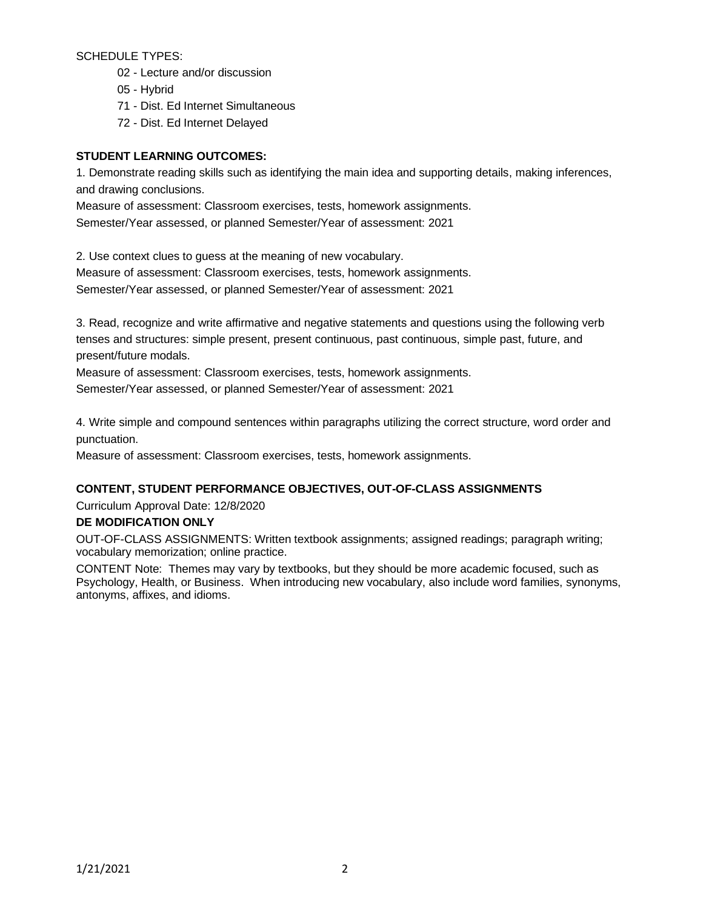SCHEDULE TYPES:

- 02 Lecture and/or discussion
- 05 Hybrid
- 71 Dist. Ed Internet Simultaneous
- 72 Dist. Ed Internet Delayed

# **STUDENT LEARNING OUTCOMES:**

1. Demonstrate reading skills such as identifying the main idea and supporting details, making inferences, and drawing conclusions.

Measure of assessment: Classroom exercises, tests, homework assignments. Semester/Year assessed, or planned Semester/Year of assessment: 2021

2. Use context clues to guess at the meaning of new vocabulary.

Measure of assessment: Classroom exercises, tests, homework assignments.

Semester/Year assessed, or planned Semester/Year of assessment: 2021

3. Read, recognize and write affirmative and negative statements and questions using the following verb tenses and structures: simple present, present continuous, past continuous, simple past, future, and present/future modals.

Measure of assessment: Classroom exercises, tests, homework assignments. Semester/Year assessed, or planned Semester/Year of assessment: 2021

4. Write simple and compound sentences within paragraphs utilizing the correct structure, word order and punctuation.

Measure of assessment: Classroom exercises, tests, homework assignments.

# **CONTENT, STUDENT PERFORMANCE OBJECTIVES, OUT-OF-CLASS ASSIGNMENTS**

Curriculum Approval Date: 12/8/2020

## **DE MODIFICATION ONLY**

OUT-OF-CLASS ASSIGNMENTS: Written textbook assignments; assigned readings; paragraph writing; vocabulary memorization; online practice.

CONTENT Note: Themes may vary by textbooks, but they should be more academic focused, such as Psychology, Health, or Business. When introducing new vocabulary, also include word families, synonyms, antonyms, affixes, and idioms.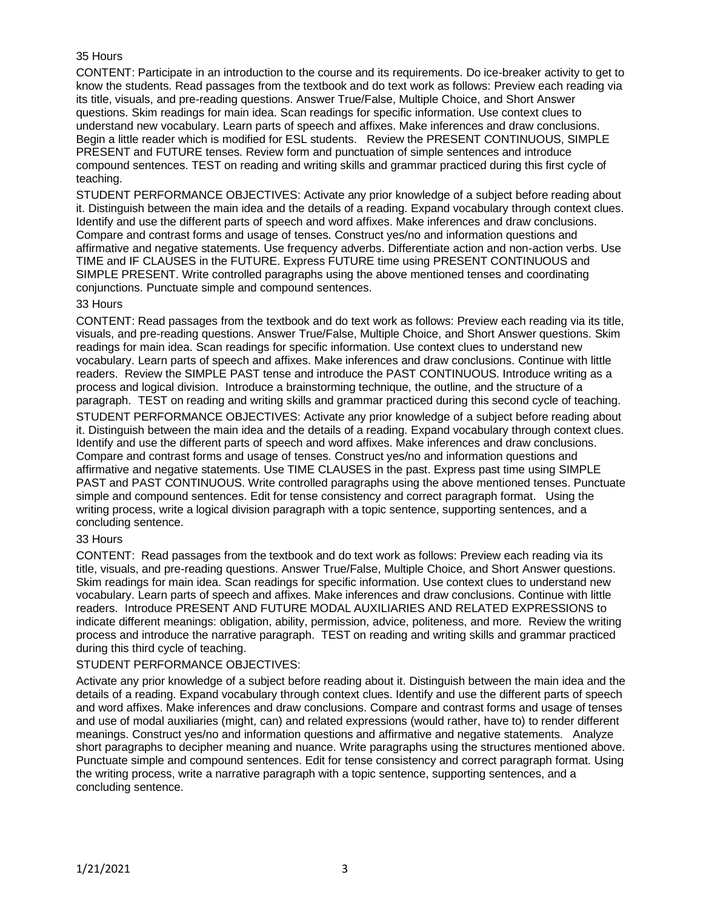## 35 Hours

CONTENT: Participate in an introduction to the course and its requirements. Do ice-breaker activity to get to know the students. Read passages from the textbook and do text work as follows: Preview each reading via its title, visuals, and pre-reading questions. Answer True/False, Multiple Choice, and Short Answer questions. Skim readings for main idea. Scan readings for specific information. Use context clues to understand new vocabulary. Learn parts of speech and affixes. Make inferences and draw conclusions. Begin a little reader which is modified for ESL students. Review the PRESENT CONTINUOUS, SIMPLE PRESENT and FUTURE tenses. Review form and punctuation of simple sentences and introduce compound sentences. TEST on reading and writing skills and grammar practiced during this first cycle of teaching.

STUDENT PERFORMANCE OBJECTIVES: Activate any prior knowledge of a subject before reading about it. Distinguish between the main idea and the details of a reading. Expand vocabulary through context clues. Identify and use the different parts of speech and word affixes. Make inferences and draw conclusions. Compare and contrast forms and usage of tenses. Construct yes/no and information questions and affirmative and negative statements. Use frequency adverbs. Differentiate action and non-action verbs. Use TIME and IF CLAUSES in the FUTURE. Express FUTURE time using PRESENT CONTINUOUS and SIMPLE PRESENT. Write controlled paragraphs using the above mentioned tenses and coordinating conjunctions. Punctuate simple and compound sentences.

### 33 Hours

CONTENT: Read passages from the textbook and do text work as follows: Preview each reading via its title, visuals, and pre-reading questions. Answer True/False, Multiple Choice, and Short Answer questions. Skim readings for main idea. Scan readings for specific information. Use context clues to understand new vocabulary. Learn parts of speech and affixes. Make inferences and draw conclusions. Continue with little readers. Review the SIMPLE PAST tense and introduce the PAST CONTINUOUS. Introduce writing as a process and logical division. Introduce a brainstorming technique, the outline, and the structure of a paragraph. TEST on reading and writing skills and grammar practiced during this second cycle of teaching. STUDENT PERFORMANCE OBJECTIVES: Activate any prior knowledge of a subject before reading about it. Distinguish between the main idea and the details of a reading. Expand vocabulary through context clues. Identify and use the different parts of speech and word affixes. Make inferences and draw conclusions. Compare and contrast forms and usage of tenses. Construct yes/no and information questions and affirmative and negative statements. Use TIME CLAUSES in the past. Express past time using SIMPLE PAST and PAST CONTINUOUS. Write controlled paragraphs using the above mentioned tenses. Punctuate simple and compound sentences. Edit for tense consistency and correct paragraph format. Using the writing process, write a logical division paragraph with a topic sentence, supporting sentences, and a concluding sentence.

#### 33 Hours

CONTENT: Read passages from the textbook and do text work as follows: Preview each reading via its title, visuals, and pre-reading questions. Answer True/False, Multiple Choice, and Short Answer questions. Skim readings for main idea. Scan readings for specific information. Use context clues to understand new vocabulary. Learn parts of speech and affixes. Make inferences and draw conclusions. Continue with little readers. Introduce PRESENT AND FUTURE MODAL AUXILIARIES AND RELATED EXPRESSIONS to indicate different meanings: obligation, ability, permission, advice, politeness, and more. Review the writing process and introduce the narrative paragraph. TEST on reading and writing skills and grammar practiced during this third cycle of teaching.

## STUDENT PERFORMANCE OBJECTIVES:

Activate any prior knowledge of a subject before reading about it. Distinguish between the main idea and the details of a reading. Expand vocabulary through context clues. Identify and use the different parts of speech and word affixes. Make inferences and draw conclusions. Compare and contrast forms and usage of tenses and use of modal auxiliaries (might, can) and related expressions (would rather, have to) to render different meanings. Construct yes/no and information questions and affirmative and negative statements. Analyze short paragraphs to decipher meaning and nuance. Write paragraphs using the structures mentioned above. Punctuate simple and compound sentences. Edit for tense consistency and correct paragraph format. Using the writing process, write a narrative paragraph with a topic sentence, supporting sentences, and a concluding sentence.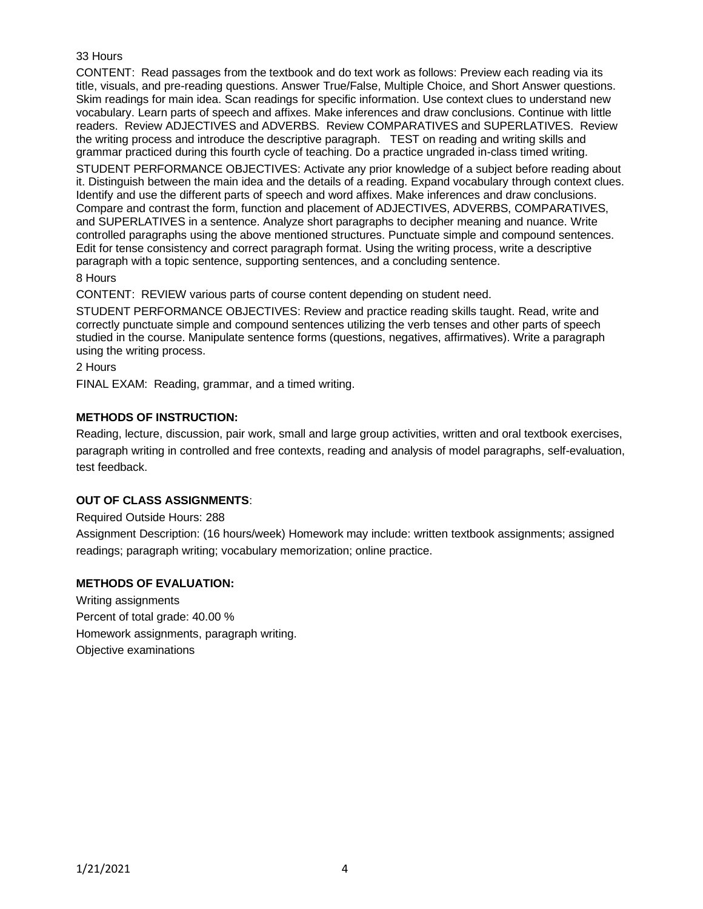# 33 Hours

CONTENT: Read passages from the textbook and do text work as follows: Preview each reading via its title, visuals, and pre-reading questions. Answer True/False, Multiple Choice, and Short Answer questions. Skim readings for main idea. Scan readings for specific information. Use context clues to understand new vocabulary. Learn parts of speech and affixes. Make inferences and draw conclusions. Continue with little readers. Review ADJECTIVES and ADVERBS. Review COMPARATIVES and SUPERLATIVES. Review the writing process and introduce the descriptive paragraph. TEST on reading and writing skills and grammar practiced during this fourth cycle of teaching. Do a practice ungraded in-class timed writing.

STUDENT PERFORMANCE OBJECTIVES: Activate any prior knowledge of a subject before reading about it. Distinguish between the main idea and the details of a reading. Expand vocabulary through context clues. Identify and use the different parts of speech and word affixes. Make inferences and draw conclusions. Compare and contrast the form, function and placement of ADJECTIVES, ADVERBS, COMPARATIVES, and SUPERLATIVES in a sentence. Analyze short paragraphs to decipher meaning and nuance. Write controlled paragraphs using the above mentioned structures. Punctuate simple and compound sentences. Edit for tense consistency and correct paragraph format. Using the writing process, write a descriptive paragraph with a topic sentence, supporting sentences, and a concluding sentence.

8 Hours

CONTENT: REVIEW various parts of course content depending on student need.

STUDENT PERFORMANCE OBJECTIVES: Review and practice reading skills taught. Read, write and correctly punctuate simple and compound sentences utilizing the verb tenses and other parts of speech studied in the course. Manipulate sentence forms (questions, negatives, affirmatives). Write a paragraph using the writing process.

2 Hours

FINAL EXAM: Reading, grammar, and a timed writing.

# **METHODS OF INSTRUCTION:**

Reading, lecture, discussion, pair work, small and large group activities, written and oral textbook exercises, paragraph writing in controlled and free contexts, reading and analysis of model paragraphs, self-evaluation, test feedback.

## **OUT OF CLASS ASSIGNMENTS**:

Required Outside Hours: 288

Assignment Description: (16 hours/week) Homework may include: written textbook assignments; assigned readings; paragraph writing; vocabulary memorization; online practice.

## **METHODS OF EVALUATION:**

Writing assignments Percent of total grade: 40.00 % Homework assignments, paragraph writing. Objective examinations